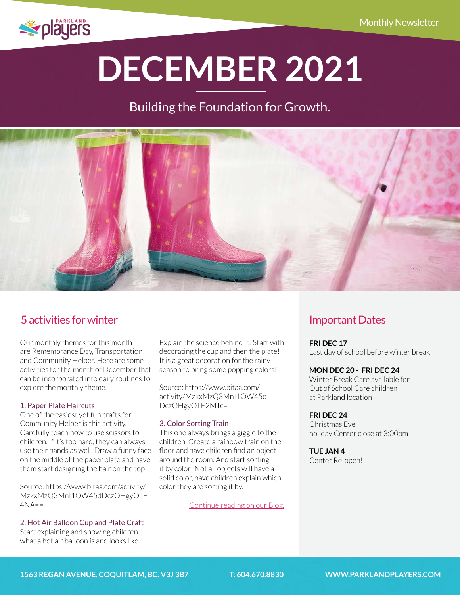

# **DECEMBER 2021**

# Building the Foundation for Growth.



## [5 activities for winter](http://parklandplayers.com/5-activities-for-november/)

Our monthly themes for this month are Remembrance Day, Transportation and Community Helper. Here are some activities for the month of December that can be incorporated into daily routines to explore the monthly theme.

#### 1. Paper Plate Haircuts

One of the easiest yet fun crafts for Community Helper is this activity. Carefully teach how to use scissors to children. If it's too hard, they can always use their hands as well. Draw a funny face on the middle of the paper plate and have them start designing the hair on the top!

Source: [https://www.bitaa.com/activity/](https://www.bitaa.com/activity/MzkxMzQ3MnI1OW45dDczOHgyOTE4NA==) [MzkxMzQ3MnI1OW45dDczOHgyOTE-](https://www.bitaa.com/activity/MzkxMzQ3MnI1OW45dDczOHgyOTE4NA==) $4NA =$ 

#### 2. Hot Air Balloon Cup and Plate Craft

Start explaining and showing children what a hot air balloon is and looks like.

Explain the science behind it! Start with decorating the cup and then the plate! It is a great decoration for the rainy season to bring some popping colors!

Source[: https://www.bitaa.com/](https://www.bitaa.com/activity/MzkxMzQ3MnI1OW45dDczOHgyOTE2MTc=) [activity/MzkxMzQ3MnI1OW45d-](https://www.bitaa.com/activity/MzkxMzQ3MnI1OW45dDczOHgyOTE2MTc=)[DczOHgyOTE2MTc=](https://www.bitaa.com/activity/MzkxMzQ3MnI1OW45dDczOHgyOTE2MTc=)

#### 3. Color Sorting Train

This one always brings a giggle to the children. Create a rainbow train on the floor and have children find an object around the room. And start sorting it by color! Not all objects will have a solid color, have children explain which color they are sorting it by.

[Continue reading on our Blog.](http://parklandplayers.com/5-activities-for-november/)

### Important Dates

**FRI DEC 17** Last day of school before winter break

#### **MON DEC 20 - FRI DEC 24**

Winter Break Care available for Out of School Care children at Parkland location

#### **FRI DEC 24**

Christmas Eve, holiday Center close at 3:00pm

#### **TUE JAN 4**

Center Re-open!